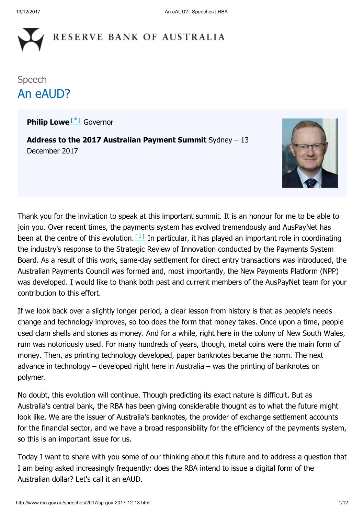# RESERVE BANK OF AUSTRALIA

### Speech An eAUD?

<span id="page-0-0"></span>Philip Lowe<sup>[[\\*](#page-10-0)]</sup> Governor

Address to the 2017 Australian Payment Summit Sydney - 13 December 2017



<span id="page-0-1"></span>Thank you for the invitation to speak at this important summit. It is an honour for me to be able to join you. Over recent times, the payments system has evolved tremendously and AusPayNet has been at the centre of this evolution.  $[1]$  In particular, it has played an important role in coordinating the industry's response to the Strategic Review of Innovation conducted by the Payments System Board. As a result of this work, same-day settlement for direct entry transactions was introduced, the Australian Payments Council was formed and, most importantly, the New Payments Platform (NPP) was developed. I would like to thank both past and current members of the AusPayNet team for your contribution to this effort.

If we look back over a slightly longer period, a clear lesson from history is that as people's needs change and technology improves, so too does the form that money takes. Once upon a time, people used clam shells and stones as money. And for a while, right here in the colony of New South Wales, rum was notoriously used. For many hundreds of years, though, metal coins were the main form of money. Then, as printing technology developed, paper banknotes became the norm. The next advance in technology – developed right here in Australia – was the printing of banknotes on polymer.

No doubt, this evolution will continue. Though predicting its exact nature is difficult. But as Australia's central bank, the RBA has been giving considerable thought as to what the future might look like. We are the issuer of Australia's banknotes, the provider of exchange settlement accounts for the financial sector, and we have a broad responsibility for the efficiency of the payments system, so this is an important issue for us.

Today I want to share with you some of our thinking about this future and to address a question that I am being asked increasingly frequently: does the RBA intend to issue a digital form of the Australian dollar? Let's call it an eAUD.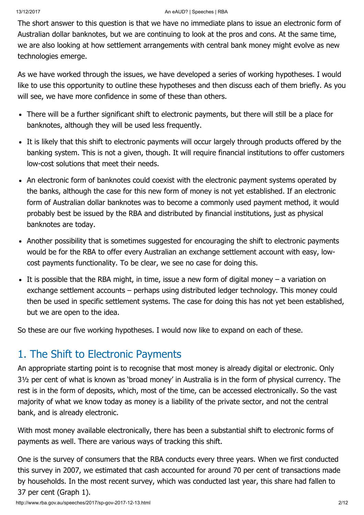The short answer to this question is that we have no immediate plans to issue an electronic form of Australian dollar banknotes, but we are continuing to look at the pros and cons. At the same time, we are also looking at how settlement arrangements with central bank money might evolve as new technologies emerge.

As we have worked through the issues, we have developed a series of working hypotheses. I would like to use this opportunity to outline these hypotheses and then discuss each of them briefly. As you will see, we have more confidence in some of these than others.

- There will be a further significant shift to electronic payments, but there will still be a place for banknotes, although they will be used less frequently.
- It is likely that this shift to electronic payments will occur largely through products offered by the banking system. This is not a given, though. It will require financial institutions to offer customers low-cost solutions that meet their needs.
- An electronic form of banknotes could coexist with the electronic payment systems operated by the banks, although the case for this new form of money is not yet established. If an electronic form of Australian dollar banknotes was to become a commonly used payment method, it would probably best be issued by the RBA and distributed by financial institutions, just as physical banknotes are today.
- Another possibility that is sometimes suggested for encouraging the shift to electronic payments would be for the RBA to offer every Australian an exchange settlement account with easy, lowcost payments functionality. To be clear, we see no case for doing this.
- $\bullet$  It is possible that the RBA might, in time, issue a new form of digital money a variation on exchange settlement accounts – perhaps using distributed ledger technology. This money could then be used in specific settlement systems. The case for doing this has not yet been established, but we are open to the idea.

So these are our five working hypotheses. I would now like to expand on each of these.

## 1. The Shift to Electronic Payments

An appropriate starting point is to recognise that most money is already digital or electronic. Only 3½ per cent of what is known as 'broad money' in Australia is in the form of physical currency. The rest is in the form of deposits, which, most of the time, can be accessed electronically. So the vast majority of what we know today as money is a liability of the private sector, and not the central bank, and is already electronic.

With most money available electronically, there has been a substantial shift to electronic forms of payments as well. There are various ways of tracking this shift.

One is the survey of consumers that the RBA conducts every three years. When we first conducted this survey in 2007, we estimated that cash accounted for around 70 per cent of transactions made by households. In the most recent survey, which was conducted last year, this share had fallen to 37 per cent (Graph 1).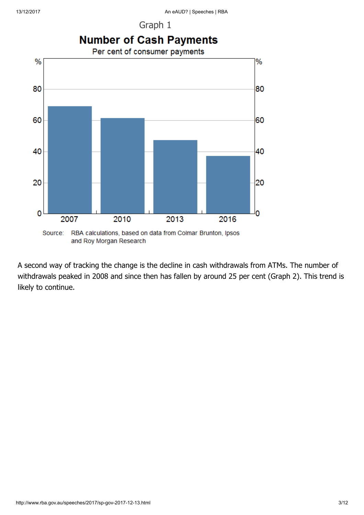Graph 1



A second way of tracking the change is the decline in cash withdrawals from ATMs. The number of withdrawals peaked in 2008 and since then has fallen by around 25 per cent (Graph 2). This trend is likely to continue.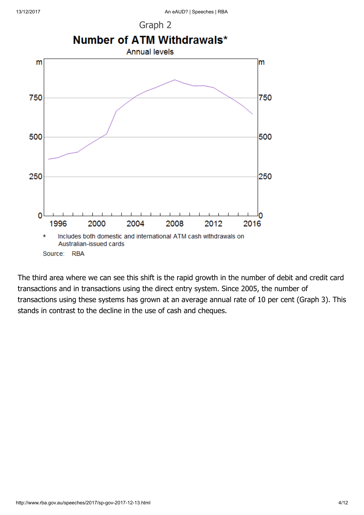



The third area where we can see this shift is the rapid growth in the number of debit and credit card transactions and in transactions using the direct entry system. Since 2005, the number of transactions using these systems has grown at an average annual rate of 10 per cent (Graph 3). This stands in contrast to the decline in the use of cash and cheques.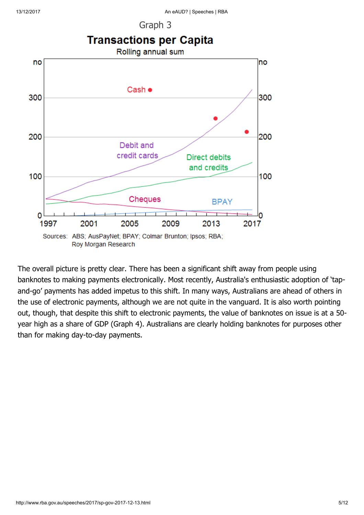Graph 3



The overall picture is pretty clear. There has been a significant shift away from people using banknotes to making payments electronically. Most recently, Australia's enthusiastic adoption of 'tapand-go' payments has added impetus to this shift. In many ways, Australians are ahead of others in the use of electronic payments, although we are not quite in the vanguard. It is also worth pointing out, though, that despite this shift to electronic payments, the value of banknotes on issue is at a 50 year high as a share of GDP (Graph 4). Australians are clearly holding banknotes for purposes other than for making day-to-day payments.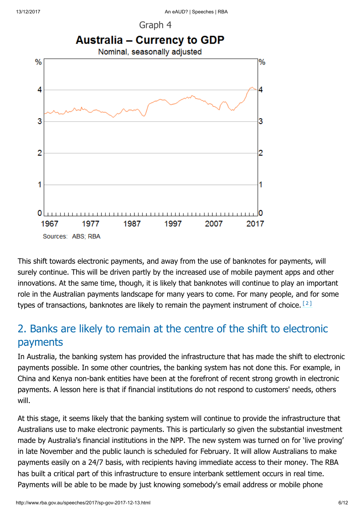



This shift towards electronic payments, and away from the use of banknotes for payments, will surely continue. This will be driven partly by the increased use of mobile payment apps and other innovations. At the same time, though, it is likely that banknotes will continue to play an important role in the Australian payments landscape for many years to come. For many people, and for some types of transactions, banknotes are likely to remain the payment instrument of choice. [\[2\]](#page-10-2)

### <span id="page-5-0"></span>2. Banks are likely to remain at the centre of the shift to electronic payments

In Australia, the banking system has provided the infrastructure that has made the shift to electronic payments possible. In some other countries, the banking system has not done this. For example, in China and Kenya non-bank entities have been at the forefront of recent strong growth in electronic payments. A lesson here is that if financial institutions do not respond to customers' needs, others will.

At this stage, it seems likely that the banking system will continue to provide the infrastructure that Australians use to make electronic payments. This is particularly so given the substantial investment made by Australia's financial institutions in the NPP. The new system was turned on for 'live proving' in late November and the public launch is scheduled for February. It will allow Australians to make payments easily on a 24/7 basis, with recipients having immediate access to their money. The RBA has built a critical part of this infrastructure to ensure interbank settlement occurs in real time. Payments will be able to be made by just knowing somebody's email address or mobile phone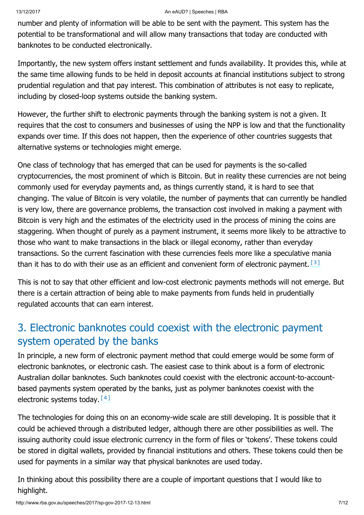number and plenty of information will be able to be sent with the payment. This system has the potential to be transformational and will allow many transactions that today are conducted with banknotes to be conducted electronically.

Importantly, the new system offers instant settlement and funds availability. It provides this, while at the same time allowing funds to be held in deposit accounts at financial institutions subject to strong prudential regulation and that pay interest. This combination of attributes is not easy to replicate, including by closed-loop systems outside the banking system.

However, the further shift to electronic payments through the banking system is not a given. It requires that the cost to consumers and businesses of using the NPP is low and that the functionality expands over time. If this does not happen, then the experience of other countries suggests that alternative systems or technologies might emerge.

One class of technology that has emerged that can be used for payments is the so-called cryptocurrencies, the most prominent of which is Bitcoin. But in reality these currencies are not being commonly used for everyday payments and, as things currently stand, it is hard to see that changing. The value of Bitcoin is very volatile, the number of payments that can currently be handled is very low, there are governance problems, the transaction cost involved in making a payment with Bitcoin is very high and the estimates of the electricity used in the process of mining the coins are staggering. When thought of purely as a payment instrument, it seems more likely to be attractive to those who want to make transactions in the black or illegal economy, rather than everyday transactions. So the current fascination with these currencies feels more like a speculative mania than it has to do with their use as an efficient and convenient form of electronic payment.  $[3]$ 

<span id="page-6-0"></span>This is not to say that other efficient and low-cost electronic payments methods will not emerge. But there is a certain attraction of being able to make payments from funds held in prudentially regulated accounts that can earn interest.

### 3. Electronic banknotes could coexist with the electronic payment system operated by the banks

In principle, a new form of electronic payment method that could emerge would be some form of electronic banknotes, or electronic cash. The easiest case to think about is a form of electronic Australian dollar banknotes. Such banknotes could coexist with the electronic account-to-accountbased payments system operated by the banks, just as polymer banknotes coexist with the electronic systems today. [\[4\]](#page-11-1)

<span id="page-6-1"></span>The technologies for doing this on an economy-wide scale are still developing. It is possible that it could be achieved through a distributed ledger, although there are other possibilities as well. The issuing authority could issue electronic currency in the form of files or 'tokens'. These tokens could be stored in digital wallets, provided by financial institutions and others. These tokens could then be used for payments in a similar way that physical banknotes are used today.

In thinking about this possibility there are a couple of important questions that I would like to highlight.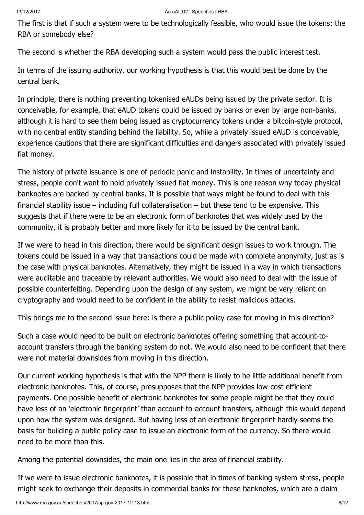The first is that if such a system were to be technologically feasible, who would issue the tokens: the RBA or somebody else?

The second is whether the RBA developing such a system would pass the public interest test.

In terms of the issuing authority, our working hypothesis is that this would best be done by the central bank.

In principle, there is nothing preventing tokenised eAUDs being issued by the private sector. It is conceivable, for example, that eAUD tokens could be issued by banks or even by large non-banks, although it is hard to see them being issued as cryptocurrency tokens under a bitcoin-style protocol, with no central entity standing behind the liability. So, while a privately issued eAUD is conceivable, experience cautions that there are significant difficulties and dangers associated with privately issued fiat money.

The history of private issuance is one of periodic panic and instability. In times of uncertainty and stress, people don't want to hold privately issued fiat money. This is one reason why today physical banknotes are backed by central banks. It is possible that ways might be found to deal with this financial stability issue – including full collateralisation – but these tend to be expensive. This suggests that if there were to be an electronic form of banknotes that was widely used by the community, it is probably better and more likely for it to be issued by the central bank.

If we were to head in this direction, there would be significant design issues to work through. The tokens could be issued in a way that transactions could be made with complete anonymity, just as is the case with physical banknotes. Alternatively, they might be issued in a way in which transactions were auditable and traceable by relevant authorities. We would also need to deal with the issue of possible counterfeiting. Depending upon the design of any system, we might be very reliant on cryptography and would need to be confident in the ability to resist malicious attacks.

This brings me to the second issue here: is there a public policy case for moving in this direction?

Such a case would need to be built on electronic banknotes offering something that account-toaccount transfers through the banking system do not. We would also need to be confident that there were not material downsides from moving in this direction.

Our current working hypothesis is that with the NPP there is likely to be little additional benefit from electronic banknotes. This, of course, presupposes that the NPP provides low-cost efficient payments. One possible benefit of electronic banknotes for some people might be that they could have less of an 'electronic fingerprint' than account-to-account transfers, although this would depend upon how the system was designed. But having less of an electronic fingerprint hardly seems the basis for building a public policy case to issue an electronic form of the currency. So there would need to be more than this.

Among the potential downsides, the main one lies in the area of financial stability.

If we were to issue electronic banknotes, it is possible that in times of banking system stress, people might seek to exchange their deposits in commercial banks for these banknotes, which are a claim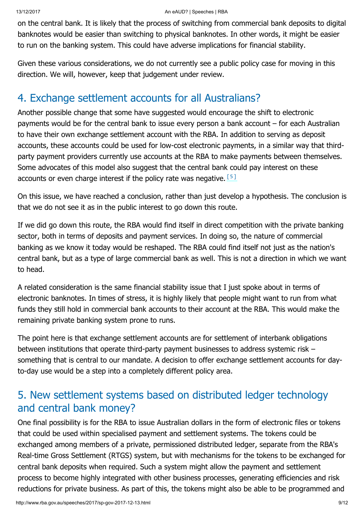on the central bank. It is likely that the process of switching from commercial bank deposits to digital banknotes would be easier than switching to physical banknotes. In other words, it might be easier to run on the banking system. This could have adverse implications for financial stability.

Given these various considerations, we do not currently see a public policy case for moving in this direction. We will, however, keep that judgement under review.

### 4. Exchange settlement accounts for all Australians?

Another possible change that some have suggested would encourage the shift to electronic payments would be for the central bank to issue every person a bank account – for each Australian to have their own exchange settlement account with the RBA. In addition to serving as deposit accounts, these accounts could be used for low-cost electronic payments, in a similar way that thirdparty payment providers currently use accounts at the RBA to make payments between themselves. Some advocates of this model also suggest that the central bank could pay interest on these accounts or even charge interest if the policy rate was negative. [\[5\]](#page-11-2)

<span id="page-8-0"></span>On this issue, we have reached a conclusion, rather than just develop a hypothesis. The conclusion is that we do not see it as in the public interest to go down this route.

If we did go down this route, the RBA would find itself in direct competition with the private banking sector, both in terms of deposits and payment services. In doing so, the nature of commercial banking as we know it today would be reshaped. The RBA could find itself not just as the nation's central bank, but as a type of large commercial bank as well. This is not a direction in which we want to head.

A related consideration is the same financial stability issue that I just spoke about in terms of electronic banknotes. In times of stress, it is highly likely that people might want to run from what funds they still hold in commercial bank accounts to their account at the RBA. This would make the remaining private banking system prone to runs.

The point here is that exchange settlement accounts are for settlement of interbank obligations between institutions that operate third-party payment businesses to address systemic risk – something that is central to our mandate. A decision to offer exchange settlement accounts for dayto-day use would be a step into a completely different policy area.

### 5. New settlement systems based on distributed ledger technology and central bank money?

One final possibility is for the RBA to issue Australian dollars in the form of electronic files or tokens that could be used within specialised payment and settlement systems. The tokens could be exchanged among members of a private, permissioned distributed ledger, separate from the RBA's Real-time Gross Settlement (RTGS) system, but with mechanisms for the tokens to be exchanged for central bank deposits when required. Such a system might allow the payment and settlement process to become highly integrated with other business processes, generating efficiencies and risk reductions for private business. As part of this, the tokens might also be able to be programmed and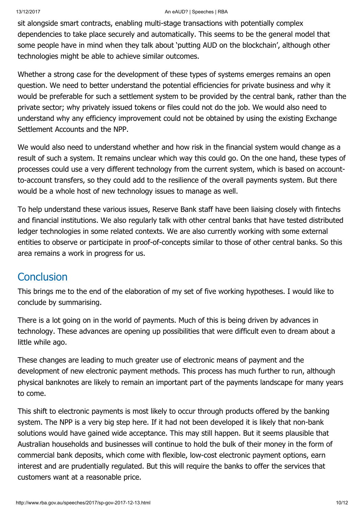sit alongside smart contracts, enabling multi-stage transactions with potentially complex dependencies to take place securely and automatically. This seems to be the general model that some people have in mind when they talk about 'putting AUD on the blockchain', although other technologies might be able to achieve similar outcomes.

Whether a strong case for the development of these types of systems emerges remains an open question. We need to better understand the potential efficiencies for private business and why it would be preferable for such a settlement system to be provided by the central bank, rather than the private sector; why privately issued tokens or files could not do the job. We would also need to understand why any efficiency improvement could not be obtained by using the existing Exchange Settlement Accounts and the NPP.

We would also need to understand whether and how risk in the financial system would change as a result of such a system. It remains unclear which way this could go. On the one hand, these types of processes could use a very different technology from the current system, which is based on accountto-account transfers, so they could add to the resilience of the overall payments system. But there would be a whole host of new technology issues to manage as well.

To help understand these various issues, Reserve Bank staff have been liaising closely with fintechs and financial institutions. We also regularly talk with other central banks that have tested distributed ledger technologies in some related contexts. We are also currently working with some external entities to observe or participate in proof-of-concepts similar to those of other central banks. So this area remains a work in progress for us.

#### **Conclusion**

This brings me to the end of the elaboration of my set of five working hypotheses. I would like to conclude by summarising.

There is a lot going on in the world of payments. Much of this is being driven by advances in technology. These advances are opening up possibilities that were difficult even to dream about a little while ago.

These changes are leading to much greater use of electronic means of payment and the development of new electronic payment methods. This process has much further to run, although physical banknotes are likely to remain an important part of the payments landscape for many years to come.

This shift to electronic payments is most likely to occur through products offered by the banking system. The NPP is a very big step here. If it had not been developed it is likely that non-bank solutions would have gained wide acceptance. This may still happen. But it seems plausible that Australian households and businesses will continue to hold the bulk of their money in the form of commercial bank deposits, which come with flexible, low-cost electronic payment options, earn interest and are prudentially regulated. But this will require the banks to offer the services that customers want at a reasonable price.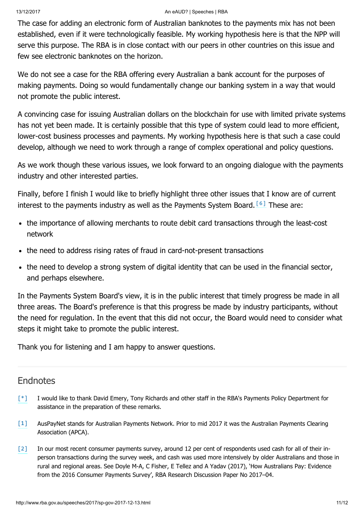The case for adding an electronic form of Australian banknotes to the payments mix has not been established, even if it were technologically feasible. My working hypothesis here is that the NPP will serve this purpose. The RBA is in close contact with our peers in other countries on this issue and few see electronic banknotes on the horizon.

We do not see a case for the RBA offering every Australian a bank account for the purposes of making payments. Doing so would fundamentally change our banking system in a way that would not promote the public interest.

A convincing case for issuing Australian dollars on the blockchain for use with limited private systems has not yet been made. It is certainly possible that this type of system could lead to more efficient, lower-cost business processes and payments. My working hypothesis here is that such a case could develop, although we need to work through a range of complex operational and policy questions.

As we work though these various issues, we look forward to an ongoing dialogue with the payments industry and other interested parties.

Finally, before I finish I would like to briefly highlight three other issues that I know are of current interestto the payments industry as well as the Payments System Board.  $[6]$  These are:

- <span id="page-10-3"></span>• the importance of allowing merchants to route debit card transactions through the least-cost network
- the need to address rising rates of fraud in card-not-present transactions
- the need to develop a strong system of digital identity that can be used in the financial sector, and perhaps elsewhere.

In the Payments System Board's view, it is in the public interest that timely progress be made in all three areas. The Board's preference is that this progress be made by industry participants, without the need for regulation. In the event that this did not occur, the Board would need to consider what steps it might take to promote the public interest.

Thank you for listening and I am happy to answer questions.

#### **Endnotes**

- <span id="page-10-0"></span>I would like to thank David Emery, Tony Richards and other staff in the RBA's Payments Policy Department for assistance in the preparation of these remarks. [\[\\*\]](#page-0-0)
- <span id="page-10-1"></span>AusPayNet stands for Australian Payments Network. Prior to mid 2017 it was the Australian Payments Clearing Association (APCA). [\[1\]](#page-0-1)
- <span id="page-10-2"></span>In our most recent consumer payments survey, around 12 per cent of respondents used cash for all of their inperson transactions during the survey week, and cash was used more intensively by older Australians and those in rural and regional areas. See Doyle M-A, C Fisher, E Tellez and A Yadav (2017), 'How Australians Pay: Evidence from the 2016 Consumer Payments Survey', RBA Research Discussion Paper No 2017–04. [\[2\]](#page-5-0)